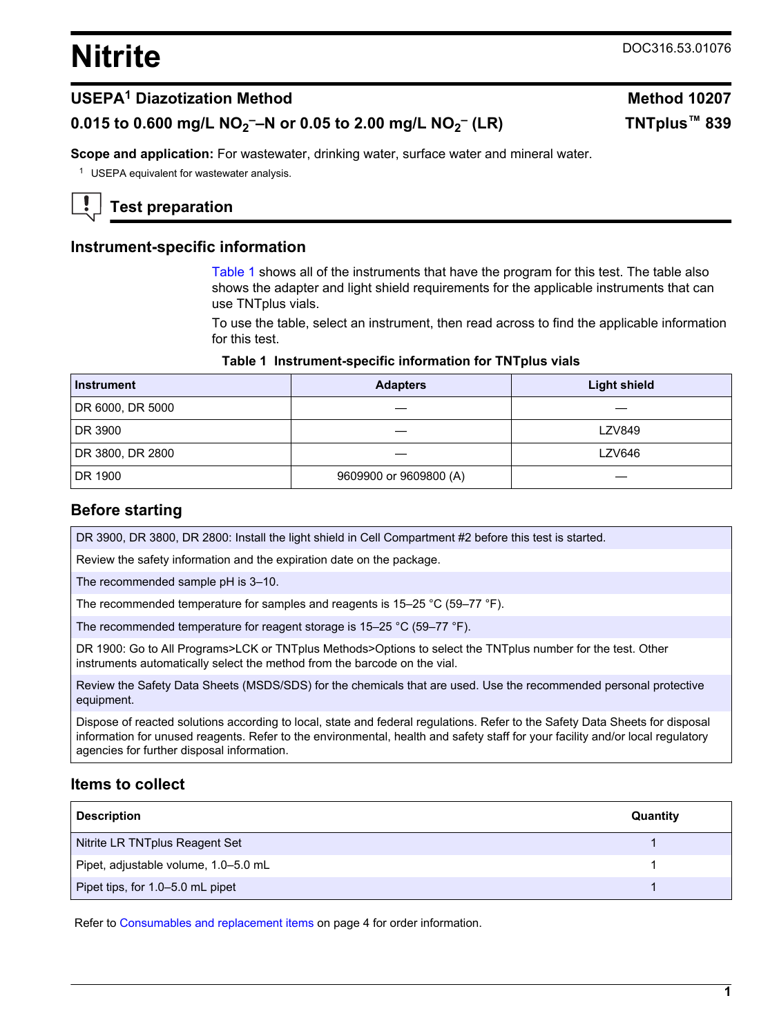# <span id="page-0-0"></span>**Nitrite** DOC316.53.01076

 **(LR) TNTplus™ 839**

## **USEPA<sup>1</sup> Diazotization Method Method 10207**

# **0.015 to 0.600 mg/L NO<sup>2</sup> ––N or 0.05 to 2.00 mg/L NO<sup>2</sup> –**

**Scope and application:** For wastewater, drinking water, surface water and mineral water.

<sup>1</sup> USEPA equivalent for wastewater analysis.



## **Test preparation**

## **Instrument-specific information**

Table 1 shows all of the instruments that have the program for this test. The table also shows the adapter and light shield requirements for the applicable instruments that can use TNTplus vials.

To use the table, select an instrument, then read across to find the applicable information for this test.

#### **Table 1 Instrument-specific information for TNTplus vials**

| <b>Instrument</b> | <b>Adapters</b>        | <b>Light shield</b> |
|-------------------|------------------------|---------------------|
| DR 6000, DR 5000  |                        |                     |
| DR 3900           |                        | <b>LZV849</b>       |
| DR 3800, DR 2800  |                        | <b>LZV646</b>       |
| DR 1900           | 9609900 or 9609800 (A) |                     |

#### **Before starting**

DR 3900, DR 3800, DR 2800: Install the light shield in Cell Compartment #2 before this test is started.

Review the safety information and the expiration date on the package.

The recommended sample pH is 3–10.

The recommended temperature for samples and reagents is 15–25 °C (59–77 °F).

The recommended temperature for reagent storage is 15–25 °C (59–77 °F).

DR 1900: Go to All Programs>LCK or TNTplus Methods>Options to select the TNTplus number for the test. Other instruments automatically select the method from the barcode on the vial.

Review the Safety Data Sheets (MSDS/SDS) for the chemicals that are used. Use the recommended personal protective equipment.

Dispose of reacted solutions according to local, state and federal regulations. Refer to the Safety Data Sheets for disposal information for unused reagents. Refer to the environmental, health and safety staff for your facility and/or local regulatory agencies for further disposal information.

## **Items to collect**

| <b>Description</b>                   | Quantity |
|--------------------------------------|----------|
| Nitrite LR TNTplus Reagent Set       |          |
| Pipet, adjustable volume, 1.0-5.0 mL |          |
| Pipet tips, for 1.0-5.0 mL pipet     |          |

Refer to [Consumables and replacement items](#page-3-0) on page 4 for order information.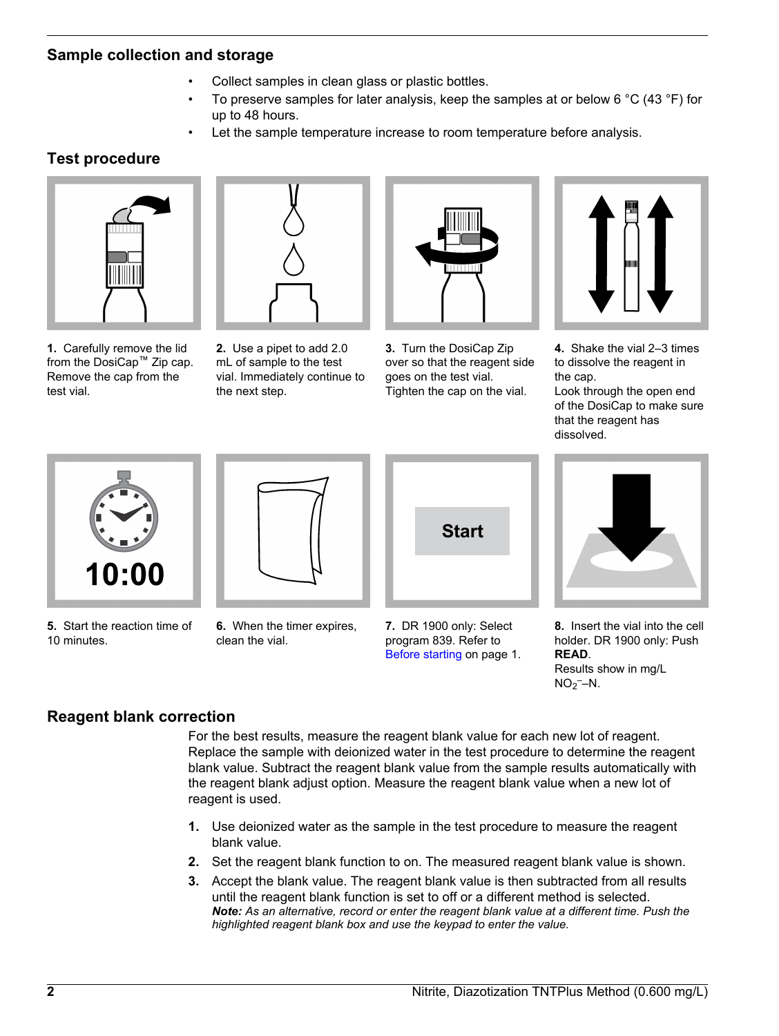## **Sample collection and storage**

- Collect samples in clean glass or plastic bottles.
- To preserve samples for later analysis, keep the samples at or below 6  $^{\circ}$ C (43  $^{\circ}$ F) for up to 48 hours.
- Let the sample temperature increase to room temperature before analysis.

# **Test procedure**



**1.** Carefully remove the lid from the DosiCap™ Zip cap. Remove the cap from the test vial.



**2.** Use a pipet to add 2.0 mL of sample to the test vial. Immediately continue to the next step.



**3.** Turn the DosiCap Zip over so that the reagent side goes on the test vial. Tighten the cap on the vial.



**4.** Shake the vial 2–3 times to dissolve the reagent in the cap.

Look through the open end of the DosiCap to make sure that the reagent has dissolved.



**5.** Start the reaction time of 10 minutes.



**6.** When the timer expires, clean the vial.



**7.** DR 1900 only: Select program 839. Refer to [Before starting](#page-0-0) on page 1.

**8.** Insert the vial into the cell holder. DR 1900 only: Push **READ**.

Results show in mg/L  $NO<sub>2</sub>$ -N.

# **Reagent blank correction**

For the best results, measure the reagent blank value for each new lot of reagent. Replace the sample with deionized water in the test procedure to determine the reagent blank value. Subtract the reagent blank value from the sample results automatically with the reagent blank adjust option. Measure the reagent blank value when a new lot of reagent is used.

- **1.** Use deionized water as the sample in the test procedure to measure the reagent blank value.
- **2.** Set the reagent blank function to on. The measured reagent blank value is shown.
- **3.** Accept the blank value. The reagent blank value is then subtracted from all results until the reagent blank function is set to off or a different method is selected. *Note: As an alternative, record or enter the reagent blank value at a different time. Push the highlighted reagent blank box and use the keypad to enter the value.*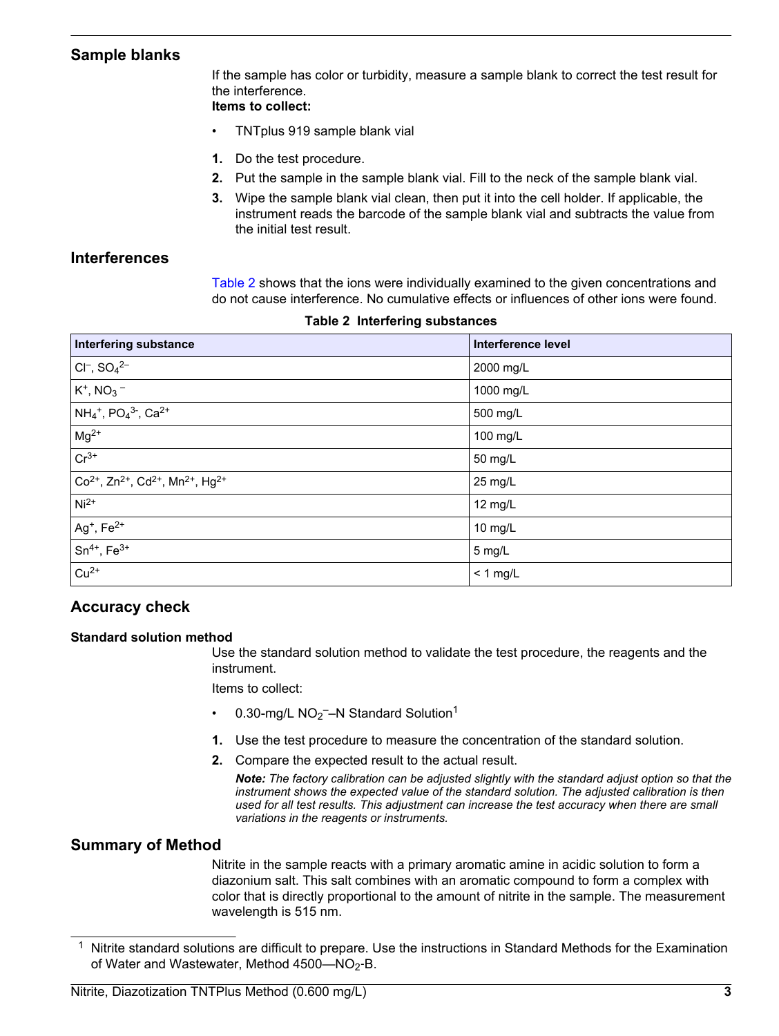## **Sample blanks**

If the sample has color or turbidity, measure a sample blank to correct the test result for the interference.

## **Items to collect:**

- TNTplus 919 sample blank vial
- **1.** Do the test procedure.
- **2.** Put the sample in the sample blank vial. Fill to the neck of the sample blank vial.
- **3.** Wipe the sample blank vial clean, then put it into the cell holder. If applicable, the instrument reads the barcode of the sample blank vial and subtracts the value from the initial test result.

## **Interferences**

Table 2 shows that the ions were individually examined to the given concentrations and do not cause interference. No cumulative effects or influences of other ions were found.

| <b>Interfering substance</b>                                                       | Interference level |
|------------------------------------------------------------------------------------|--------------------|
| $CI^-$ , $SO_4{}^{2-}$                                                             | 2000 mg/L          |
| $K^+$ , NO <sub>3</sub> –                                                          | 1000 mg/L          |
| $NH_4^+$ , PO <sub>4</sub> <sup>3-</sup> , Ca <sup>2+</sup>                        | 500 mg/L           |
| $Mg^{2+}$                                                                          | 100 mg/L           |
| $Cr^{3+}$                                                                          | 50 mg/L            |
| $Co2+$ , Zn <sup>2+</sup> , Cd <sup>2+</sup> , Mn <sup>2+</sup> , Hg <sup>2+</sup> | 25 mg/L            |
| $Ni2+$                                                                             | 12 mg/L            |
| $Ag^+$ , $Fe^{2+}$                                                                 | 10 mg/L            |
| $Sn^{4+}$ , $Fe^{3+}$                                                              | 5 mg/L             |
| $Cu2+$                                                                             | $< 1$ mg/L         |

## **Accuracy check**

#### **Standard solution method**

Use the standard solution method to validate the test procedure, the reagents and the instrument.

Items to collect:

- 0.30-mg/L  $NO<sub>2</sub>$  -N Standard Solution<sup>1</sup>
- **1.** Use the test procedure to measure the concentration of the standard solution.
- **2.** Compare the expected result to the actual result.
	- *Note: The factory calibration can be adjusted slightly with the standard adjust option so that the instrument shows the expected value of the standard solution. The adjusted calibration is then used for all test results. This adjustment can increase the test accuracy when there are small variations in the reagents or instruments.*

## **Summary of Method**

Nitrite in the sample reacts with a primary aromatic amine in acidic solution to form a diazonium salt. This salt combines with an aromatic compound to form a complex with color that is directly proportional to the amount of nitrite in the sample. The measurement wavelength is 515 nm.

<sup>&</sup>lt;sup>1</sup> Nitrite standard solutions are difficult to prepare. Use the instructions in Standard Methods for the Examination of Water and Wastewater, Method  $4500 - NO<sub>2</sub>$ -B.